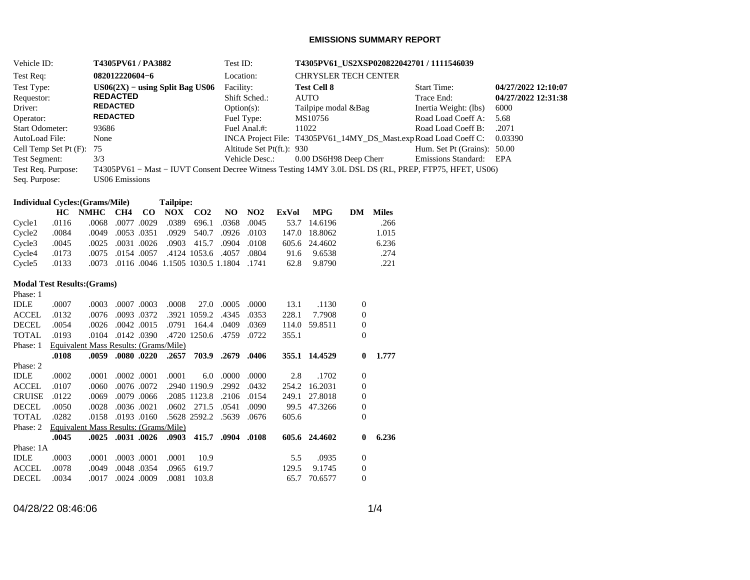## **EMISSIONS SUMMARY REPORT**

| Vehicle ID:                                       |                       | T4305PV61 / PA3882                     |            |                       | Test ID:       |                 |                           |                                                                                                       |                                      |                 | T4305PV61_US2XSP020822042701 / 1111546039                        |                     |
|---------------------------------------------------|-----------------------|----------------------------------------|------------|-----------------------|----------------|-----------------|---------------------------|-------------------------------------------------------------------------------------------------------|--------------------------------------|-----------------|------------------------------------------------------------------|---------------------|
| Test Req:                                         | 082012220604-6        |                                        |            |                       | Location:      |                 |                           | <b>CHRYSLER TECH CENTER</b>                                                                           |                                      |                 |                                                                  |                     |
| Test Type:                                        |                       | $US06(2X) - using Split Bag US06$      |            |                       | Facility:      |                 | <b>Test Cell 8</b>        |                                                                                                       |                                      |                 | <b>Start Time:</b>                                               | 04/27/2022 12:10:07 |
| Requestor:                                        | <b>REDACTED</b>       |                                        |            |                       |                | Shift Sched.:   |                           | <b>AUTO</b>                                                                                           |                                      |                 | Trace End:                                                       | 04/27/2022 12:31:38 |
| Driver:                                           | <b>REDACTED</b>       |                                        |            |                       | $Option(s)$ :  |                 |                           | Tailpipe modal &Bag                                                                                   |                                      |                 | Inertia Weight: (lbs)                                            | 6000                |
| Operator:                                         | <b>REDACTED</b>       |                                        |            |                       |                | Fuel Type:      |                           | MS10756                                                                                               |                                      |                 | Road Load Coeff A:                                               | 5.68                |
| <b>Start Odometer:</b>                            | 93686                 |                                        |            |                       |                | Fuel Anal.#:    |                           | 11022                                                                                                 |                                      |                 | Road Load Coeff B:                                               | .2071               |
| AutoLoad File:                                    | None                  |                                        |            |                       |                |                 |                           |                                                                                                       |                                      |                 | INCA Project File: T4305PV61_14MY_DS_Mast.exp Road Load Coeff C: | 0.03390             |
| Cell Temp Set Pt (F):                             | 75                    |                                        |            |                       |                |                 | Altitude Set Pt(ft.): 930 |                                                                                                       |                                      |                 | Hum. Set Pt (Grains): 50.00                                      |                     |
| Test Segment:                                     | 3/3                   |                                        |            |                       |                | Vehicle Desc.:  |                           | 0.00 DS6H98 Deep Cherr                                                                                |                                      |                 | Emissions Standard:                                              | EPA                 |
| Test Req. Purpose:                                |                       |                                        |            |                       |                |                 |                           | T4305PV61 - Mast - IUVT Consent Decree Witness Testing 14MY 3.0L DSL DS (RL, PREP, FTP75, HFET, US06) |                                      |                 |                                                                  |                     |
| Seq. Purpose:                                     | <b>US06</b> Emissions |                                        |            |                       |                |                 |                           |                                                                                                       |                                      |                 |                                                                  |                     |
|                                                   |                       |                                        |            |                       |                |                 |                           |                                                                                                       |                                      |                 |                                                                  |                     |
| <b>Individual Cycles:</b> (Grams/Mile)            |                       |                                        | Tailpipe:  |                       |                |                 |                           |                                                                                                       |                                      |                 |                                                                  |                     |
| HC NMHC                                           | CH4                   | $\bf CO$                               | <b>NOX</b> | CO <sub>2</sub>       | N <sub>O</sub> | NO <sub>2</sub> | <b>ExVol</b>              | <b>MPG</b>                                                                                            |                                      | <b>DM</b> Miles |                                                                  |                     |
| .0116<br>Cycle1                                   | .0068                 | .0077.0029                             | .0389      | 696.1                 | .0368          | .0045           | 53.7                      | 14.6196                                                                                               |                                      | .266            |                                                                  |                     |
| .0084<br>Cycle <sub>2</sub>                       | .0049                 | .0053 .0351                            | .0929      | 540.7                 | .0926          | .0103           |                           | 147.0 18.8062                                                                                         |                                      | 1.015           |                                                                  |                     |
| .0045<br>Cycle <sub>3</sub>                       | .0025                 | .0031.0026                             | .0903      | 415.7                 | .0904          | .0108           |                           | 605.6 24.4602                                                                                         |                                      | 6.236           |                                                                  |                     |
| .0173<br>Cycle4                                   | .0075                 | .0154.0057                             |            | .4124 1053.6          | .4057          | .0804           | 91.6                      | 9.6538                                                                                                |                                      | .274            |                                                                  |                     |
| .0133<br>Cycle5                                   | .0073                 | .0116 .0046 1.1505 1030.5 1.1804 .1741 |            |                       |                |                 | 62.8                      | 9.8790                                                                                                |                                      | .221            |                                                                  |                     |
|                                                   |                       |                                        |            |                       |                |                 |                           |                                                                                                       |                                      |                 |                                                                  |                     |
| <b>Modal Test Results: (Grams)</b>                |                       |                                        |            |                       |                |                 |                           |                                                                                                       |                                      |                 |                                                                  |                     |
| Phase: 1                                          |                       |                                        |            |                       |                |                 |                           |                                                                                                       |                                      |                 |                                                                  |                     |
| <b>IDLE</b><br>.0007                              | .0003                 | .0007.0003                             | .0008      | 27.0                  | .0005          | .0000           | 13.1                      | .1130                                                                                                 | $\boldsymbol{0}$                     |                 |                                                                  |                     |
| $\operatorname{ACCEL}$<br>.0132                   | .0076                 | .0093 .0372                            |            | .3921 1059.2          | .4345          | .0353<br>.0369  | 228.1                     | 7.7908                                                                                                | $\boldsymbol{0}$                     |                 |                                                                  |                     |
| <b>DECEL</b><br>.0054<br><b>TOTAL</b><br>.0193    | .0026<br>.0104        | .0042 .0015<br>.0142 .0390             | .0791      | 164.4<br>.4720 1250.6 | .0409<br>.4759 | .0722           | 355.1                     | 114.0 59.8511                                                                                         | $\boldsymbol{0}$<br>$\overline{0}$   |                 |                                                                  |                     |
| Phase: 1<br>Equivalent Mass Results: (Grams/Mile) |                       |                                        |            |                       |                |                 |                           |                                                                                                       |                                      |                 |                                                                  |                     |
| .0108                                             | .0059                 | .0080.0220                             | .2657      | 703.9                 | .2679          | .0406           |                           | 355.1 14.4529                                                                                         | $\bf{0}$                             | 1.777           |                                                                  |                     |
| Phase: 2                                          |                       |                                        |            |                       |                |                 |                           |                                                                                                       |                                      |                 |                                                                  |                     |
| <b>IDLE</b><br>.0002                              | .0001                 | .0002 .0001                            | .0001      | 6.0                   | .0000          | .0000           | 2.8                       | .1702                                                                                                 | $\boldsymbol{0}$                     |                 |                                                                  |                     |
| <b>ACCEL</b><br>.0107                             | .0060                 | .0076 .0072                            |            | .2940 1190.9          | .2992          | .0432           |                           | 254.2 16.2031                                                                                         | $\boldsymbol{0}$                     |                 |                                                                  |                     |
| <b>CRUISE</b><br>.0122                            | .0069                 | .0079 .0066                            |            | .2085 1123.8          | .2106          | .0154           |                           | 249.1 27.8018                                                                                         | $\boldsymbol{0}$                     |                 |                                                                  |                     |
| <b>DECEL</b><br>.0050                             | .0028                 | .0036 .0021                            |            | .0602 271.5           | .0541          | .0090           |                           | 99.5 47.3266                                                                                          | $\boldsymbol{0}$                     |                 |                                                                  |                     |
| <b>TOTAL</b><br>.0282                             | .0158                 | .0193 .0160                            |            | .5628 2592.2 .5639    |                | .0676           | 605.6                     |                                                                                                       | $\overline{0}$                       |                 |                                                                  |                     |
|                                                   |                       |                                        |            |                       |                |                 |                           |                                                                                                       |                                      |                 |                                                                  |                     |
|                                                   |                       |                                        |            |                       |                |                 |                           |                                                                                                       |                                      |                 |                                                                  |                     |
| Equivalent Mass Results: (Grams/Mile)<br>Phase: 2 |                       |                                        |            |                       |                |                 |                           |                                                                                                       |                                      |                 |                                                                  |                     |
| .0045                                             | .0025 .0031 .0026     |                                        | .0903      | 415.7                 | .0904          | .0108           |                           | 605.6 24.4602                                                                                         | $\bf{0}$                             | 6.236           |                                                                  |                     |
| Phase: 1A                                         |                       |                                        | .0001      | 10.9                  |                |                 |                           |                                                                                                       |                                      |                 |                                                                  |                     |
| IDLE<br>.0003<br>$\operatorname{ACCEL}$<br>.0078  | .0001<br>.0049        | .0003 .0001<br>.0048.0354              | .0965      | 619.7                 |                |                 | 5.5<br>129.5              | .0935<br>9.1745                                                                                       | $\boldsymbol{0}$<br>$\boldsymbol{0}$ |                 |                                                                  |                     |

04/28/22 08:46:06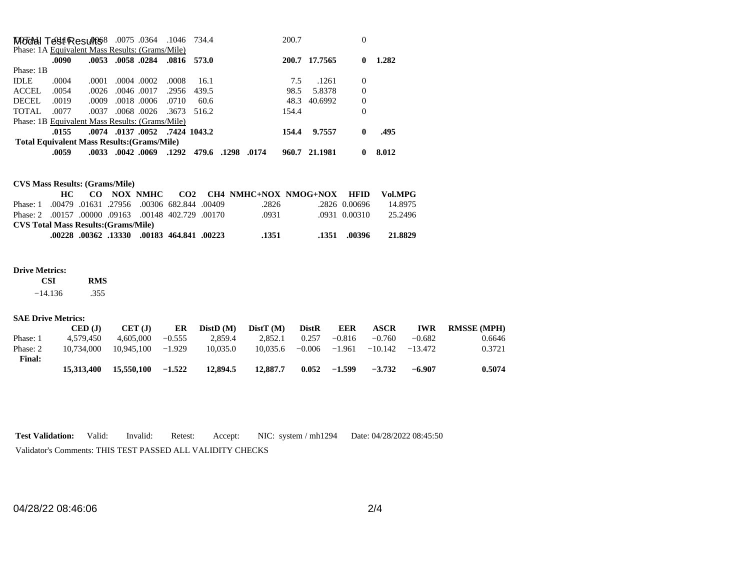| MOddal Test Results 8 .0075 .0364 .1046 734.4   |                                                    |       |                   |            |       |                                |       | 200.7 |               | 0        |       |
|-------------------------------------------------|----------------------------------------------------|-------|-------------------|------------|-------|--------------------------------|-------|-------|---------------|----------|-------|
| Phase: 1A Equivalent Mass Results: (Grams/Mile) |                                                    |       |                   |            |       |                                |       |       |               |          |       |
|                                                 | .0090                                              |       | .0053 .0058 .0284 |            |       | .0816 573.0                    |       |       | 200.7 17.7565 | 0        | 1.282 |
| Phase: 1B                                       |                                                    |       |                   |            |       |                                |       |       |               |          |       |
| <b>IDLE</b>                                     | .0004                                              | .0001 | .0004.0002        |            | .0008 | 16.1                           |       | 7.5   | .1261         | $\Omega$ |       |
| ACCEL                                           | .0054                                              | .0026 | .0046.0017        |            | .2956 | 439.5                          |       | 98.5  | 5.8378        | $\Omega$ |       |
| <b>DECEL</b>                                    | .0019                                              | .0009 |                   | .0018.0006 | .0710 | 60.6                           |       | 48.3  | 40.6992       | 0        |       |
| <b>TOTAL</b>                                    | .0077                                              | .0037 |                   |            |       | .0068.0026.3673.516.2          |       | 154.4 |               | 0        |       |
| Phase: 1B Equivalent Mass Results: (Grams/Mile) |                                                    |       |                   |            |       |                                |       |       |               |          |       |
|                                                 | .0155                                              |       |                   |            |       | .0074 .0137 .0052 .7424 1043.2 |       | 154.4 | 9.7557        | 0        | .495  |
|                                                 | <b>Total Equivalent Mass Results: (Grams/Mile)</b> |       |                   |            |       |                                |       |       |               |          |       |
|                                                 | .0059                                              |       | .0033 .0042 .0069 |            | .1292 | 479.6.1298                     | .0174 |       | 960.7 21.1981 | 0        | 8.012 |

| <b>CVS Mass Results: (Grams/Mile)</b> |  |
|---------------------------------------|--|
|---------------------------------------|--|

|                                                         |  |  |                                                   |       | CO NOX NMHC CO2 CH4 NMHC+NOX NMOG+NOX HFID |               | Vol.MPG |
|---------------------------------------------------------|--|--|---------------------------------------------------|-------|--------------------------------------------|---------------|---------|
| Phase: 1.00479.01631.27956.00306.682.844.00409          |  |  |                                                   | .2826 |                                            | .2826 0.00696 | 14.8975 |
| 00170. 00148 402.729 00170. 09163 00100. 09163 Phase: 2 |  |  |                                                   | .0931 |                                            | .0931 0.00310 | 25.2496 |
| <b>CVS Total Mass Results: (Grams/Mile)</b>             |  |  |                                                   |       |                                            |               |         |
|                                                         |  |  | .00228. 00362. 00183. 00183. 00228. 00228. 00228. | .1351 |                                            | .1351 .00396  | 21.8829 |

## **Drive Metrics:**

 **CSI RMS**   $-14.136$ .355

## **SAE Drive Metrics:**

|               | CED (J)    | CET(J)     | ER       | DistD(M) | DistT(M) | <b>DistR</b> | <b>EER</b> | <b>ASCR</b> | <b>IWR</b> | <b>RMSSE (MPH)</b> |
|---------------|------------|------------|----------|----------|----------|--------------|------------|-------------|------------|--------------------|
| Phase: 1      | 4.579.450  | 4.605.000  | $-0.555$ | 2.859.4  | 2.852.1  | 0.257        | $-0.816$   | $-0.760$    | $-0.682$   | 0.6646             |
| Phase: 2      | 10.734,000 | 10.945.100 | $-1.929$ | 10.035.0 | 10.035.6 | $-0.006$     | $-1.961$   | $-10.142$   | $-13.472$  | 0.3721             |
| <b>Final:</b> |            |            |          |          |          |              |            |             |            |                    |
|               | 15,313,400 | 15,550,100 | $-1.522$ | 12.894.5 | 12,887.7 | 0.052        | $-1.599$   | $-3.732$    | $-6.907$   | 0.5074             |

**Test Validation:** Valid: Invalid: Retest: Accept: NIC: system / mh1294 Date: 04/28/2022 08:45:50 Validator's Comments: THIS TEST PASSED ALL VALIDITY CHECKS

04/28/22 08:46:06 2/4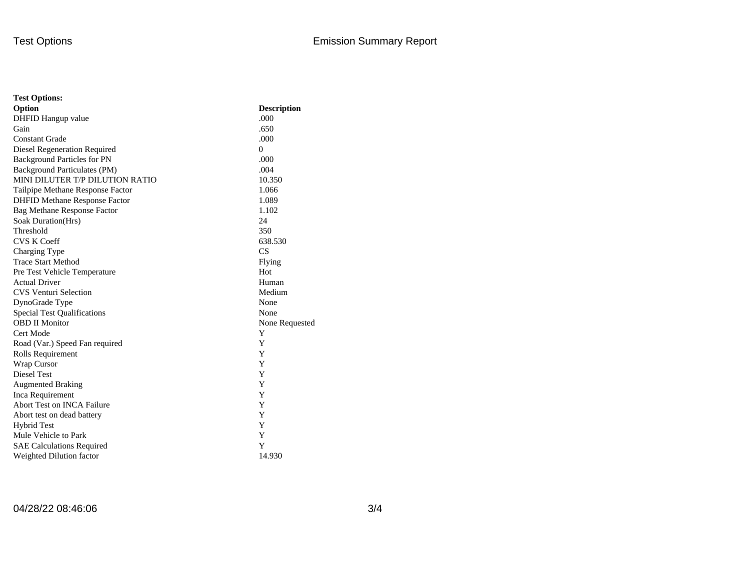| <b>Test Options:</b>                 |                    |
|--------------------------------------|--------------------|
| Option                               | <b>Description</b> |
| DHFID Hangup value                   | .000               |
| Gain                                 | .650               |
| <b>Constant Grade</b>                | .000               |
| Diesel Regeneration Required         | $\theta$           |
| <b>Background Particles for PN</b>   | .000               |
| Background Particulates (PM)         | .004               |
| MINI DILUTER T/P DILUTION RATIO      | 10.350             |
| Tailpipe Methane Response Factor     | 1.066              |
| <b>DHFID Methane Response Factor</b> | 1.089              |
| Bag Methane Response Factor          | 1.102              |
| Soak Duration(Hrs)                   | 24                 |
| Threshold                            | 350                |
| <b>CVS K Coeff</b>                   | 638.530            |
| Charging Type                        | CS                 |
| <b>Trace Start Method</b>            | Flying             |
| Pre Test Vehicle Temperature         | Hot                |
| <b>Actual Driver</b>                 | Human              |
| <b>CVS Venturi Selection</b>         | Medium             |
| DynoGrade Type                       | None               |
| <b>Special Test Qualifications</b>   | None               |
| <b>OBD II Monitor</b>                | None Requested     |
| Cert Mode                            | Y                  |
| Road (Var.) Speed Fan required       | Y                  |
| Rolls Requirement                    | Y                  |
| Wrap Cursor                          | Y                  |
| Diesel Test                          | Y                  |
| <b>Augmented Braking</b>             | Y                  |
| Inca Requirement                     | Y                  |
| <b>Abort Test on INCA Failure</b>    | Y                  |
| Abort test on dead battery           | Y                  |
| <b>Hybrid Test</b>                   | Y                  |
| Mule Vehicle to Park                 | Y                  |
| <b>SAE Calculations Required</b>     | Y                  |
| Weighted Dilution factor             | 14.930             |